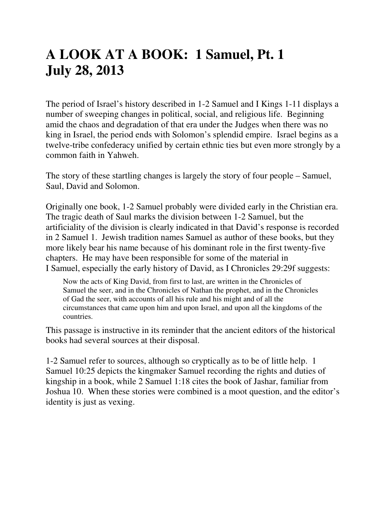# **A LOOK AT A BOOK: 1 Samuel, Pt. 1 July 28, 2013**

The period of Israel's history described in 1-2 Samuel and I Kings 1-11 displays a number of sweeping changes in political, social, and religious life. Beginning amid the chaos and degradation of that era under the Judges when there was no king in Israel, the period ends with Solomon's splendid empire. Israel begins as a twelve-tribe confederacy unified by certain ethnic ties but even more strongly by a common faith in Yahweh.

The story of these startling changes is largely the story of four people – Samuel, Saul, David and Solomon.

Originally one book, 1-2 Samuel probably were divided early in the Christian era. The tragic death of Saul marks the division between 1-2 Samuel, but the artificiality of the division is clearly indicated in that David's response is recorded in 2 Samuel 1. Jewish tradition names Samuel as author of these books, but they more likely bear his name because of his dominant role in the first twenty-five chapters. He may have been responsible for some of the material in I Samuel, especially the early history of David, as I Chronicles 29:29f suggests:

Now the acts of King David, from first to last, are written in the Chronicles of Samuel the seer, and in the Chronicles of Nathan the prophet, and in the Chronicles of Gad the seer, with accounts of all his rule and his might and of all the circumstances that came upon him and upon Israel, and upon all the kingdoms of the countries.

This passage is instructive in its reminder that the ancient editors of the historical books had several sources at their disposal.

1-2 Samuel refer to sources, although so cryptically as to be of little help. 1 Samuel 10:25 depicts the kingmaker Samuel recording the rights and duties of kingship in a book, while 2 Samuel 1:18 cites the book of Jashar, familiar from Joshua 10. When these stories were combined is a moot question, and the editor's identity is just as vexing.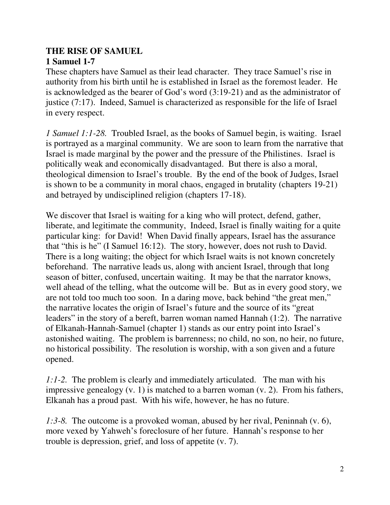## **THE RISE OF SAMUEL**

## **1 Samuel 1-7**

These chapters have Samuel as their lead character. They trace Samuel's rise in authority from his birth until he is established in Israel as the foremost leader. He is acknowledged as the bearer of God's word (3:19-21) and as the administrator of justice (7:17). Indeed, Samuel is characterized as responsible for the life of Israel in every respect.

*1 Samuel 1:1-28.* Troubled Israel, as the books of Samuel begin, is waiting. Israel is portrayed as a marginal community. We are soon to learn from the narrative that Israel is made marginal by the power and the pressure of the Philistines. Israel is politically weak and economically disadvantaged. But there is also a moral, theological dimension to Israel's trouble. By the end of the book of Judges, Israel is shown to be a community in moral chaos, engaged in brutality (chapters 19-21) and betrayed by undisciplined religion (chapters 17-18).

We discover that Israel is waiting for a king who will protect, defend, gather, liberate, and legitimate the community, Indeed, Israel is finally waiting for a quite particular king: for David! When David finally appears, Israel has the assurance that "this is he" (I Samuel 16:12). The story, however, does not rush to David. There is a long waiting; the object for which Israel waits is not known concretely beforehand. The narrative leads us, along with ancient Israel, through that long season of bitter, confused, uncertain waiting. It may be that the narrator knows, well ahead of the telling, what the outcome will be. But as in every good story, we are not told too much too soon. In a daring move, back behind "the great men," the narrative locates the origin of Israel's future and the source of its "great leaders" in the story of a bereft, barren woman named Hannah (1:2). The narrative of Elkanah-Hannah-Samuel (chapter 1) stands as our entry point into Israel's astonished waiting. The problem is barrenness; no child, no son, no heir, no future, no historical possibility. The resolution is worship, with a son given and a future opened.

*1:1-2.* The problem is clearly and immediately articulated. The man with his impressive genealogy (v. 1) is matched to a barren woman (v. 2). From his fathers, Elkanah has a proud past. With his wife, however, he has no future.

*1:3-8.* The outcome is a provoked woman, abused by her rival, Peninnah (v. 6), more vexed by Yahweh's foreclosure of her future. Hannah's response to her trouble is depression, grief, and loss of appetite (v. 7).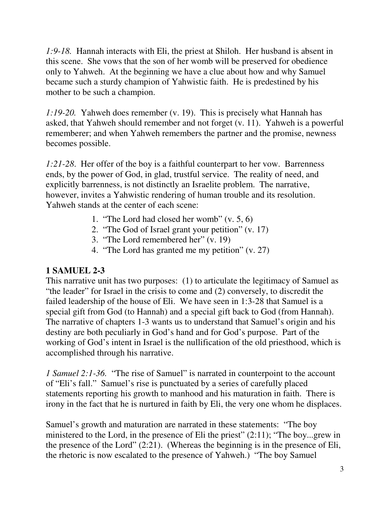*1:9-18.* Hannah interacts with Eli, the priest at Shiloh. Her husband is absent in this scene. She vows that the son of her womb will be preserved for obedience only to Yahweh. At the beginning we have a clue about how and why Samuel became such a sturdy champion of Yahwistic faith. He is predestined by his mother to be such a champion.

*1:19-20.* Yahweh does remember (v. 19). This is precisely what Hannah has asked, that Yahweh should remember and not forget (v. 11). Yahweh is a powerful rememberer; and when Yahweh remembers the partner and the promise, newness becomes possible.

*1:21-28*. Her offer of the boy is a faithful counterpart to her vow. Barrenness ends, by the power of God, in glad, trustful service. The reality of need, and explicitly barrenness, is not distinctly an Israelite problem. The narrative, however, invites a Yahwistic rendering of human trouble and its resolution. Yahweh stands at the center of each scene:

- 1. "The Lord had closed her womb" (v. 5, 6)
- 2. "The God of Israel grant your petition" (v. 17)
- 3. "The Lord remembered her" (v. 19)
- 4. "The Lord has granted me my petition" (v. 27)

#### **1 SAMUEL 2-3**

This narrative unit has two purposes: (1) to articulate the legitimacy of Samuel as "the leader" for Israel in the crisis to come and (2) conversely, to discredit the failed leadership of the house of Eli. We have seen in 1:3-28 that Samuel is a special gift from God (to Hannah) and a special gift back to God (from Hannah). The narrative of chapters 1-3 wants us to understand that Samuel's origin and his destiny are both peculiarly in God's hand and for God's purpose. Part of the working of God's intent in Israel is the nullification of the old priesthood, which is accomplished through his narrative.

*1 Samuel 2:1-36.* "The rise of Samuel" is narrated in counterpoint to the account of "Eli's fall." Samuel's rise is punctuated by a series of carefully placed statements reporting his growth to manhood and his maturation in faith. There is irony in the fact that he is nurtured in faith by Eli, the very one whom he displaces.

Samuel's growth and maturation are narrated in these statements: "The boy ministered to the Lord, in the presence of Eli the priest" (2:11); "The boy...grew in the presence of the Lord" (2:21). (Whereas the beginning is in the presence of Eli, the rhetoric is now escalated to the presence of Yahweh.) "The boy Samuel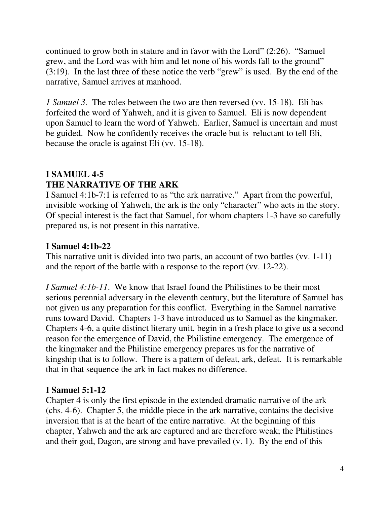continued to grow both in stature and in favor with the Lord" (2:26). "Samuel grew, and the Lord was with him and let none of his words fall to the ground" (3:19). In the last three of these notice the verb "grew" is used. By the end of the narrative, Samuel arrives at manhood.

*1 Samuel 3.* The roles between the two are then reversed (vv. 15-18). Eli has forfeited the word of Yahweh, and it is given to Samuel. Eli is now dependent upon Samuel to learn the word of Yahweh. Earlier, Samuel is uncertain and must be guided. Now he confidently receives the oracle but is reluctant to tell Eli, because the oracle is against Eli (vv. 15-18).

## **I SAMUEL 4-5 THE NARRATIVE OF THE ARK**

I Samuel 4:1b-7:1 is referred to as "the ark narrative." Apart from the powerful, invisible working of Yahweh, the ark is the only "character" who acts in the story. Of special interest is the fact that Samuel, for whom chapters 1-3 have so carefully prepared us, is not present in this narrative.

## **I Samuel 4:1b-22**

This narrative unit is divided into two parts, an account of two battles (vv. 1-11) and the report of the battle with a response to the report (vv. 12-22).

*I Samuel 4:1b-11*. We know that Israel found the Philistines to be their most serious perennial adversary in the eleventh century, but the literature of Samuel has not given us any preparation for this conflict. Everything in the Samuel narrative runs toward David. Chapters 1-3 have introduced us to Samuel as the kingmaker. Chapters 4-6, a quite distinct literary unit, begin in a fresh place to give us a second reason for the emergence of David, the Philistine emergency. The emergence of the kingmaker and the Philistine emergency prepares us for the narrative of kingship that is to follow. There is a pattern of defeat, ark, defeat. It is remarkable that in that sequence the ark in fact makes no difference.

#### **I Samuel 5:1-12**

Chapter 4 is only the first episode in the extended dramatic narrative of the ark (chs. 4-6). Chapter 5, the middle piece in the ark narrative, contains the decisive inversion that is at the heart of the entire narrative. At the beginning of this chapter, Yahweh and the ark are captured and are therefore weak; the Philistines and their god, Dagon, are strong and have prevailed (v. 1). By the end of this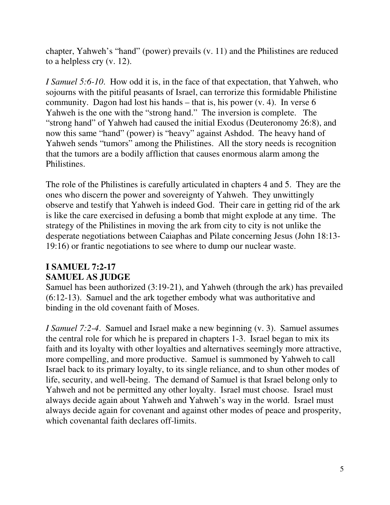chapter, Yahweh's "hand" (power) prevails (v. 11) and the Philistines are reduced to a helpless cry (v. 12).

*I Samuel 5:6-10*. How odd it is, in the face of that expectation, that Yahweh, who sojourns with the pitiful peasants of Israel, can terrorize this formidable Philistine community. Dagon had lost his hands – that is, his power (v. 4). In verse 6 Yahweh is the one with the "strong hand." The inversion is complete. The "strong hand" of Yahweh had caused the initial Exodus (Deuteronomy 26:8), and now this same "hand" (power) is "heavy" against Ashdod. The heavy hand of Yahweh sends "tumors" among the Philistines. All the story needs is recognition that the tumors are a bodily affliction that causes enormous alarm among the Philistines.

The role of the Philistines is carefully articulated in chapters 4 and 5. They are the ones who discern the power and sovereignty of Yahweh. They unwittingly observe and testify that Yahweh is indeed God. Their care in getting rid of the ark is like the care exercised in defusing a bomb that might explode at any time. The strategy of the Philistines in moving the ark from city to city is not unlike the desperate negotiations between Caiaphas and Pilate concerning Jesus (John 18:13- 19:16) or frantic negotiations to see where to dump our nuclear waste.

## **I SAMUEL 7:2-17 SAMUEL AS JUDGE**

Samuel has been authorized (3:19-21), and Yahweh (through the ark) has prevailed (6:12-13). Samuel and the ark together embody what was authoritative and binding in the old covenant faith of Moses.

*I Samuel 7:2-4*. Samuel and Israel make a new beginning (v. 3). Samuel assumes the central role for which he is prepared in chapters 1-3. Israel began to mix its faith and its loyalty with other loyalties and alternatives seemingly more attractive, more compelling, and more productive. Samuel is summoned by Yahweh to call Israel back to its primary loyalty, to its single reliance, and to shun other modes of life, security, and well-being. The demand of Samuel is that Israel belong only to Yahweh and not be permitted any other loyalty. Israel must choose. Israel must always decide again about Yahweh and Yahweh's way in the world. Israel must always decide again for covenant and against other modes of peace and prosperity, which covenantal faith declares off-limits.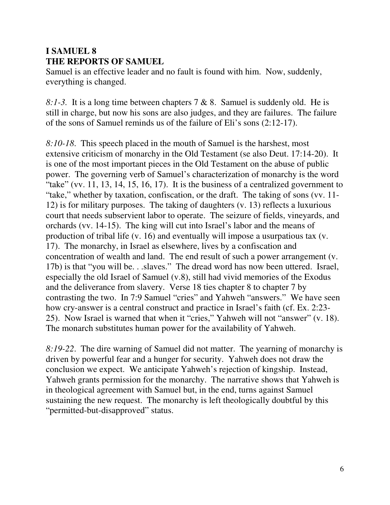# **I SAMUEL 8 THE REPORTS OF SAMUEL**

Samuel is an effective leader and no fault is found with him. Now, suddenly, everything is changed.

*8:1-3.* It is a long time between chapters 7 & 8. Samuel is suddenly old. He is still in charge, but now his sons are also judges, and they are failures. The failure of the sons of Samuel reminds us of the failure of Eli's sons (2:12-17).

*8:10-18*. This speech placed in the mouth of Samuel is the harshest, most extensive criticism of monarchy in the Old Testament (se also Deut. 17:14-20). It is one of the most important pieces in the Old Testament on the abuse of public power. The governing verb of Samuel's characterization of monarchy is the word "take" (vv. 11, 13, 14, 15, 16, 17). It is the business of a centralized government to "take," whether by taxation, confiscation, or the draft. The taking of sons (vv. 11- 12) is for military purposes. The taking of daughters (v. 13) reflects a luxurious court that needs subservient labor to operate. The seizure of fields, vineyards, and orchards (vv. 14-15). The king will cut into Israel's labor and the means of production of tribal life (v. 16) and eventually will impose a usurpatious tax (v. 17). The monarchy, in Israel as elsewhere, lives by a confiscation and concentration of wealth and land. The end result of such a power arrangement (v. 17b) is that "you will be. . .slaves." The dread word has now been uttered. Israel, especially the old Israel of Samuel (v.8), still had vivid memories of the Exodus and the deliverance from slavery. Verse 18 ties chapter 8 to chapter 7 by contrasting the two. In 7:9 Samuel "cries" and Yahweh "answers." We have seen how cry-answer is a central construct and practice in Israel's faith (cf. Ex. 2:23- 25). Now Israel is warned that when it "cries," Yahweh will not "answer" (v. 18). The monarch substitutes human power for the availability of Yahweh.

*8:19-22*. The dire warning of Samuel did not matter. The yearning of monarchy is driven by powerful fear and a hunger for security. Yahweh does not draw the conclusion we expect. We anticipate Yahweh's rejection of kingship. Instead, Yahweh grants permission for the monarchy. The narrative shows that Yahweh is in theological agreement with Samuel but, in the end, turns against Samuel sustaining the new request. The monarchy is left theologically doubtful by this "permitted-but-disapproved" status.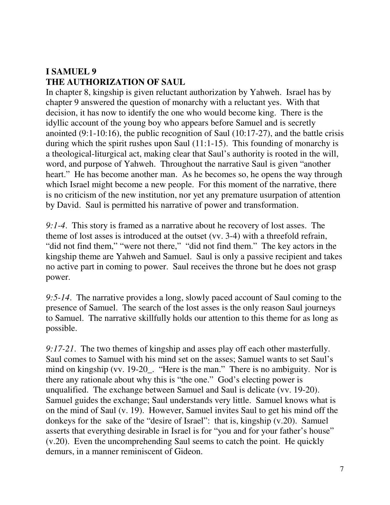# **I SAMUEL 9 THE AUTHORIZATION OF SAUL**

In chapter 8, kingship is given reluctant authorization by Yahweh. Israel has by chapter 9 answered the question of monarchy with a reluctant yes. With that decision, it has now to identify the one who would become king. There is the idyllic account of the young boy who appears before Samuel and is secretly anointed (9:1-10:16), the public recognition of Saul (10:17-27), and the battle crisis during which the spirit rushes upon Saul (11:1-15). This founding of monarchy is a theological-liturgical act, making clear that Saul's authority is rooted in the will, word, and purpose of Yahweh. Throughout the narrative Saul is given "another heart." He has become another man. As he becomes so, he opens the way through which Israel might become a new people. For this moment of the narrative, there is no criticism of the new institution, nor yet any premature usurpation of attention by David. Saul is permitted his narrative of power and transformation.

*9:1-4*. This story is framed as a narrative about he recovery of lost asses. The theme of lost asses is introduced at the outset (vv. 3-4) with a threefold refrain, "did not find them," "were not there," "did not find them." The key actors in the kingship theme are Yahweh and Samuel. Saul is only a passive recipient and takes no active part in coming to power. Saul receives the throne but he does not grasp power.

*9:5-14*. The narrative provides a long, slowly paced account of Saul coming to the presence of Samuel. The search of the lost asses is the only reason Saul journeys to Samuel. The narrative skillfully holds our attention to this theme for as long as possible.

*9:17-21*. The two themes of kingship and asses play off each other masterfully. Saul comes to Samuel with his mind set on the asses; Samuel wants to set Saul's mind on kingship (vv. 19-20\_. "Here is the man." There is no ambiguity. Nor is there any rationale about why this is "the one." God's electing power is unqualified. The exchange between Samuel and Saul is delicate (vv. 19-20). Samuel guides the exchange; Saul understands very little. Samuel knows what is on the mind of Saul (v. 19). However, Samuel invites Saul to get his mind off the donkeys for the sake of the "desire of Israel": that is, kingship (v.20). Samuel asserts that everything desirable in Israel is for "you and for your father's house" (v.20). Even the uncomprehending Saul seems to catch the point. He quickly demurs, in a manner reminiscent of Gideon.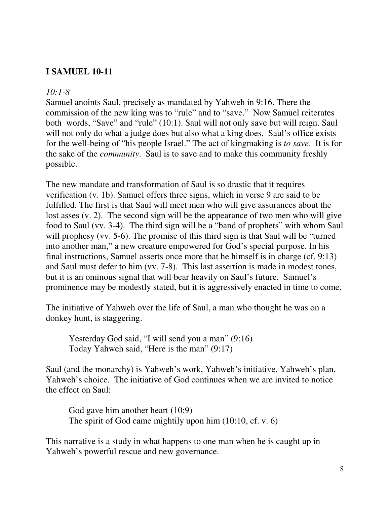## **I SAMUEL 10-11**

#### *10:1-8*

Samuel anoints Saul, precisely as mandated by Yahweh in 9:16. There the commission of the new king was to "rule" and to "save." Now Samuel reiterates both words, "Save" and "rule" (10:1). Saul will not only save but will reign. Saul will not only do what a judge does but also what a king does. Saul's office exists for the well-being of "his people Israel." The act of kingmaking is *to save*. It is for the sake of the *community*. Saul is to save and to make this community freshly possible.

The new mandate and transformation of Saul is so drastic that it requires verification (v. 1b). Samuel offers three signs, which in verse 9 are said to be fulfilled. The first is that Saul will meet men who will give assurances about the lost asses (v. 2). The second sign will be the appearance of two men who will give food to Saul (vv. 3-4). The third sign will be a "band of prophets" with whom Saul will prophesy (vv. 5-6). The promise of this third sign is that Saul will be "turned" into another man," a new creature empowered for God's special purpose. In his final instructions, Samuel asserts once more that he himself is in charge (cf. 9:13) and Saul must defer to him (vv. 7-8). This last assertion is made in modest tones, but it is an ominous signal that will bear heavily on Saul's future. Samuel's prominence may be modestly stated, but it is aggressively enacted in time to come.

The initiative of Yahweh over the life of Saul, a man who thought he was on a donkey hunt, is staggering.

 Yesterday God said, "I will send you a man" (9:16) Today Yahweh said, "Here is the man" (9:17)

Saul (and the monarchy) is Yahweh's work, Yahweh's initiative, Yahweh's plan, Yahweh's choice. The initiative of God continues when we are invited to notice the effect on Saul:

 God gave him another heart (10:9) The spirit of God came mightily upon him (10:10, cf. v. 6)

This narrative is a study in what happens to one man when he is caught up in Yahweh's powerful rescue and new governance.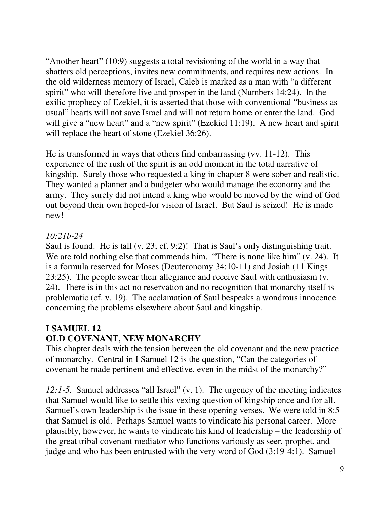"Another heart" (10:9) suggests a total revisioning of the world in a way that shatters old perceptions, invites new commitments, and requires new actions. In the old wilderness memory of Israel, Caleb is marked as a man with "a different spirit" who will therefore live and prosper in the land (Numbers 14:24). In the exilic prophecy of Ezekiel, it is asserted that those with conventional "business as usual" hearts will not save Israel and will not return home or enter the land. God will give a "new heart" and a "new spirit" (Ezekiel 11:19). A new heart and spirit will replace the heart of stone (Ezekiel 36:26).

He is transformed in ways that others find embarrassing (vv. 11-12). This experience of the rush of the spirit is an odd moment in the total narrative of kingship. Surely those who requested a king in chapter 8 were sober and realistic. They wanted a planner and a budgeter who would manage the economy and the army. They surely did not intend a king who would be moved by the wind of God out beyond their own hoped-for vision of Israel. But Saul is seized! He is made new!

## *10:21b-24*

Saul is found. He is tall (v. 23; cf. 9:2)! That is Saul's only distinguishing trait. We are told nothing else that commends him. "There is none like him" (v. 24). It is a formula reserved for Moses (Deuteronomy 34:10-11) and Josiah (11 Kings 23:25). The people swear their allegiance and receive Saul with enthusiasm (v. 24). There is in this act no reservation and no recognition that monarchy itself is problematic (cf. v. 19). The acclamation of Saul bespeaks a wondrous innocence concerning the problems elsewhere about Saul and kingship.

# **I SAMUEL 12**

# **OLD COVENANT, NEW MONARCHY**

This chapter deals with the tension between the old covenant and the new practice of monarchy. Central in I Samuel 12 is the question, "Can the categories of covenant be made pertinent and effective, even in the midst of the monarchy?"

*12:1-5.* Samuel addresses "all Israel" (v. 1). The urgency of the meeting indicates that Samuel would like to settle this vexing question of kingship once and for all. Samuel's own leadership is the issue in these opening verses. We were told in 8:5 that Samuel is old. Perhaps Samuel wants to vindicate his personal career. More plausibly, however, he wants to vindicate his kind of leadership – the leadership of the great tribal covenant mediator who functions variously as seer, prophet, and judge and who has been entrusted with the very word of God (3:19-4:1). Samuel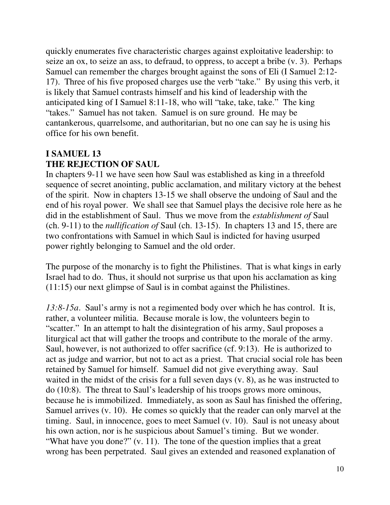quickly enumerates five characteristic charges against exploitative leadership: to seize an ox, to seize an ass, to defraud, to oppress, to accept a bribe (v. 3). Perhaps Samuel can remember the charges brought against the sons of Eli (I Samuel 2:12- 17). Three of his five proposed charges use the verb "take." By using this verb, it is likely that Samuel contrasts himself and his kind of leadership with the anticipated king of I Samuel 8:11-18, who will "take, take, take." The king "takes." Samuel has not taken. Samuel is on sure ground. He may be cantankerous, quarrelsome, and authoritarian, but no one can say he is using his office for his own benefit.

## **I SAMUEL 13 THE REJECTION OF SAUL**

In chapters 9-11 we have seen how Saul was established as king in a threefold sequence of secret anointing, public acclamation, and military victory at the behest of the spirit. Now in chapters 13-15 we shall observe the undoing of Saul and the end of his royal power. We shall see that Samuel plays the decisive role here as he did in the establishment of Saul. Thus we move from the *establishment of* Saul (ch. 9-11) to the *nullification of* Saul (ch. 13-15). In chapters 13 and 15, there are two confrontations with Samuel in which Saul is indicted for having usurped power rightly belonging to Samuel and the old order.

The purpose of the monarchy is to fight the Philistines. That is what kings in early Israel had to do. Thus, it should not surprise us that upon his acclamation as king (11:15) our next glimpse of Saul is in combat against the Philistines.

*13:8-15a*. Saul's army is not a regimented body over which he has control. It is, rather, a volunteer militia. Because morale is low, the volunteers begin to "scatter." In an attempt to halt the disintegration of his army, Saul proposes a liturgical act that will gather the troops and contribute to the morale of the army. Saul, however, is not authorized to offer sacrifice (cf. 9:13). He is authorized to act as judge and warrior, but not to act as a priest. That crucial social role has been retained by Samuel for himself. Samuel did not give everything away. Saul waited in the midst of the crisis for a full seven days (v. 8), as he was instructed to do (10:8). The threat to Saul's leadership of his troops grows more ominous, because he is immobilized. Immediately, as soon as Saul has finished the offering, Samuel arrives (v. 10). He comes so quickly that the reader can only marvel at the timing. Saul, in innocence, goes to meet Samuel (v. 10). Saul is not uneasy about his own action, nor is he suspicious about Samuel's timing. But we wonder. "What have you done?" (v. 11). The tone of the question implies that a great wrong has been perpetrated. Saul gives an extended and reasoned explanation of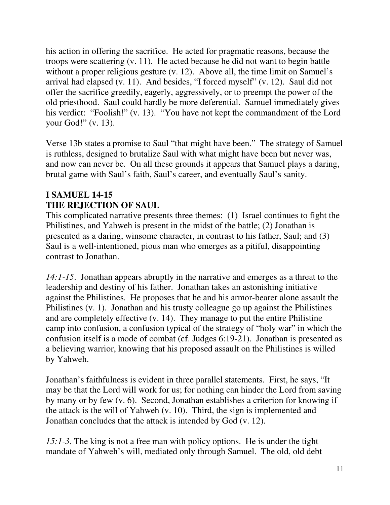his action in offering the sacrifice. He acted for pragmatic reasons, because the troops were scattering (v. 11). He acted because he did not want to begin battle without a proper religious gesture (v. 12). Above all, the time limit on Samuel's arrival had elapsed (v. 11). And besides, "I forced myself" (v. 12). Saul did not offer the sacrifice greedily, eagerly, aggressively, or to preempt the power of the old priesthood. Saul could hardly be more deferential. Samuel immediately gives his verdict: "Foolish!" (v. 13). "You have not kept the commandment of the Lord your God!" (v. 13).

Verse 13b states a promise to Saul "that might have been." The strategy of Samuel is ruthless, designed to brutalize Saul with what might have been but never was, and now can never be. On all these grounds it appears that Samuel plays a daring, brutal game with Saul's faith, Saul's career, and eventually Saul's sanity.

#### **I SAMUEL 14-15 THE REJECTION OF SAUL**

This complicated narrative presents three themes: (1) Israel continues to fight the Philistines, and Yahweh is present in the midst of the battle; (2) Jonathan is presented as a daring, winsome character, in contrast to his father, Saul; and (3) Saul is a well-intentioned, pious man who emerges as a pitiful, disappointing contrast to Jonathan.

*14:1-15*. Jonathan appears abruptly in the narrative and emerges as a threat to the leadership and destiny of his father. Jonathan takes an astonishing initiative against the Philistines. He proposes that he and his armor-bearer alone assault the Philistines (v. 1). Jonathan and his trusty colleague go up against the Philistines and are completely effective (v. 14). They manage to put the entire Philistine camp into confusion, a confusion typical of the strategy of "holy war" in which the confusion itself is a mode of combat (cf. Judges 6:19-21). Jonathan is presented as a believing warrior, knowing that his proposed assault on the Philistines is willed by Yahweh.

Jonathan's faithfulness is evident in three parallel statements. First, he says, "It may be that the Lord will work for us; for nothing can hinder the Lord from saving by many or by few (v. 6). Second, Jonathan establishes a criterion for knowing if the attack is the will of Yahweh (v. 10). Third, the sign is implemented and Jonathan concludes that the attack is intended by God (v. 12).

*15:1-3.* The king is not a free man with policy options. He is under the tight mandate of Yahweh's will, mediated only through Samuel. The old, old debt